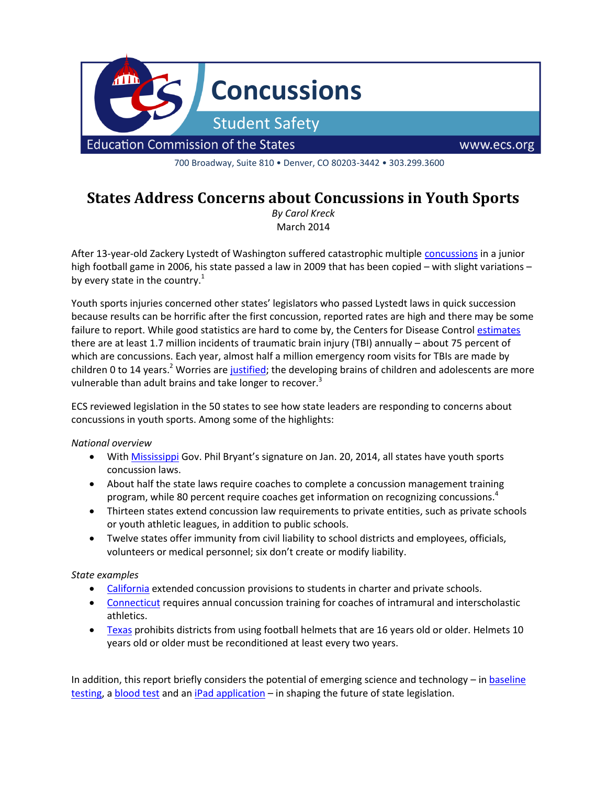

700 Broadway, Suite 810 • Denver, CO 80203-3442 • 303.299.3600

# **States Address Concerns about Concussions in Youth Sports**

*By Carol Kreck* March 2014

After 13-year-old Zackery Lystedt of Washington suffered catastrophic multiple [concussions](http://www.cdc.gov/media/subtopic/matte/pdf/031210-Zack-story.pdf) in a junior high football game in 2006, his state passed a law in 2009 that has been copied – with slight variations – by every state in the country. $<sup>1</sup>$ </sup>

Youth sports injuries concerned other states' legislators who passed Lystedt laws in quick succession because results can be horrific after the first concussion, reported rates are high and there may be some failure to report. While good statistics are hard to come by, the Centers for Disease Contro[l estimates](http://www.cdc.gov/traumaticbraininjury/statistics.html) there are at least 1.7 million incidents of traumatic brain injury (TBI) annually – about 75 percent of which are concussions. Each year, almost half a million emergency room visits for TBIs are made by children 0 to 14 years.<sup>2</sup> Worries are [justified;](http://www.mayoclinic.org/medical-professionals/clinical-updates/trauma/sports-related-concussions) the developing brains of children and adolescents are more vulnerable than adult brains and take longer to recover.<sup>3</sup>

ECS reviewed legislation in the 50 states to see how state leaders are responding to concerns about concussions in youth sports. Among some of the highlights:

#### *National overview*

- With [Mississippi](http://billstatus.ls.state.ms.us/documents/2014/pdf/HB/0001-0099/HB0048SG.pdf) Gov. Phil Bryant's signature on Jan. 20, 2014, all states have youth sports concussion laws.
- About half the state laws require coaches to complete a concussion management training program, while 80 percent require coaches get information on recognizing concussions.<sup>4</sup>
- Thirteen states extend concussion law requirements to private entities, such as private schools or youth athletic leagues, in addition to public schools.
- Twelve states offer immunity from civil liability to school districts and employees, officials, volunteers or medical personnel; six don't create or modify liability.

#### *State examples*

- [California](http://www.leginfo.ca.gov/pub/13-14/bill/asm/ab_0551-0600/ab_588_bill_20130930_chaptered.pdf) extended concussion provisions to students in charter and private schools.
- [Connecticut](http://www.cga.ct.gov/2010/ACT/Pa/pdf/2010PA-00062-R00SB-00456-PA.pdf) requires annual concussion training for coaches of intramural and interscholastic athletics.
- [Texas](http://www.capitol.state.tx.us/tlodocs/82R/billtext/pdf/HB00675F.pdf#navpanes=0) prohibits districts from using football helmets that are 16 years old or older. Helmets 10 years old or older must be reconditioned at least every two years.

In addition, this report briefly considers the potential of emerging science and technology – i[n baseline](#page-1-0)  [testing,](#page-1-0) [a blood test](#page-2-0) and a[n iPad application](#page-2-1) – in shaping the future of state legislation.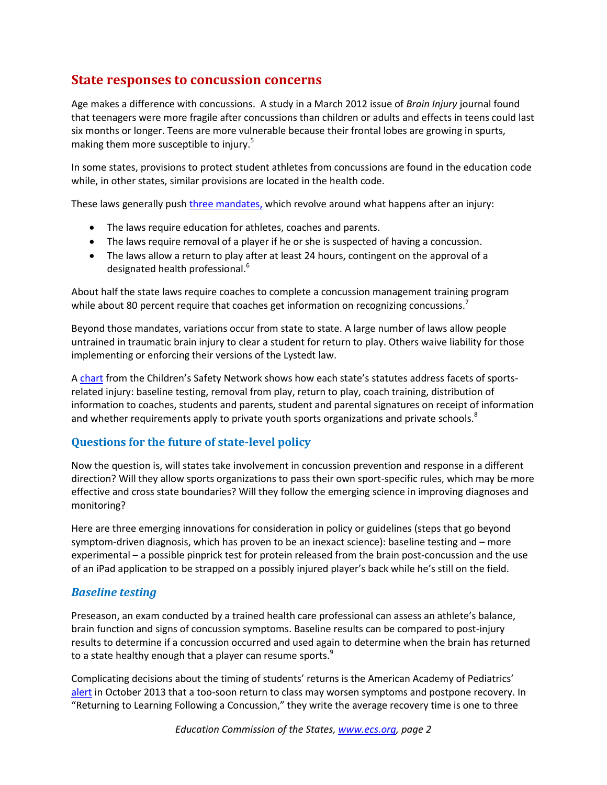## **State responses to concussion concerns**

Age makes a difference with concussions. A study in a March 2012 issue of *Brain Injury* journal found that teenagers were more fragile after concussions than children or adults and effects in teens could last six months or longer. Teens are more vulnerable because their frontal lobes are growing in spurts, making them more susceptible to injury.<sup>5</sup>

In some states, provisions to protect student athletes from concussions are found in the education code while, in other states, similar provisions are located in the health code.

These laws generally push [three mandates,](http://www.cdc.gov/concussion/policies.html) which revolve around what happens after an injury:

- The laws require education for athletes, coaches and parents.
- The laws require removal of a player if he or she is suspected of having a concussion.
- The laws allow a return to play after at least 24 hours, contingent on the approval of a designated health professional.<sup>6</sup>

About half the state laws require coaches to complete a concussion management training program while about 80 percent require that coaches get information on recognizing concussions.<sup>2</sup>

Beyond those mandates, variations occur from state to state. A large number of laws allow people untrained in traumatic brain injury to clear a student for return to play. Others waive liability for those implementing or enforcing their versions of the Lystedt law.

A [chart](http://www.childrenssafetynetwork.org/sites/childrenssafetynetwork.org/files/TBIConcussionMaps.pdf) from the Children's Safety Network shows how each state's statutes address facets of sportsrelated injury: baseline testing, removal from play, return to play, coach training, distribution of information to coaches, students and parents, student and parental signatures on receipt of information and whether requirements apply to private youth sports organizations and private schools.<sup>8</sup>

#### **Questions for the future of state-level policy**

Now the question is, will states take involvement in concussion prevention and response in a different direction? Will they allow sports organizations to pass their own sport-specific rules, which may be more effective and cross state boundaries? Will they follow the emerging science in improving diagnoses and monitoring?

Here are three emerging innovations for consideration in policy or guidelines (steps that go beyond symptom-driven diagnosis, which has proven to be an inexact science): baseline testing and – more experimental – a possible pinprick test for protein released from the brain post-concussion and the use of an iPad application to be strapped on a possibly injured player's back while he's still on the field.

#### <span id="page-1-0"></span>*Baseline testing*

Preseason, an exam conducted by a trained health care professional can assess an athlete's balance, brain function and signs of concussion symptoms. Baseline results can be compared to post-injury results to determine if a concussion occurred and used again to determine when the brain has returned to a state healthy enough that a player can resume sports.<sup>9</sup>

Complicating decisions about the timing of students' returns is the American Academy of Pediatrics' [alert](http://pediatrics.aappublications.org/content/early/2013/10/23/peds.2013-2867.full.pdf+html) in October 2013 that a too-soon return to class may worsen symptoms and postpone recovery. In "Returning to Learning Following a Concussion," they write the average recovery time is one to three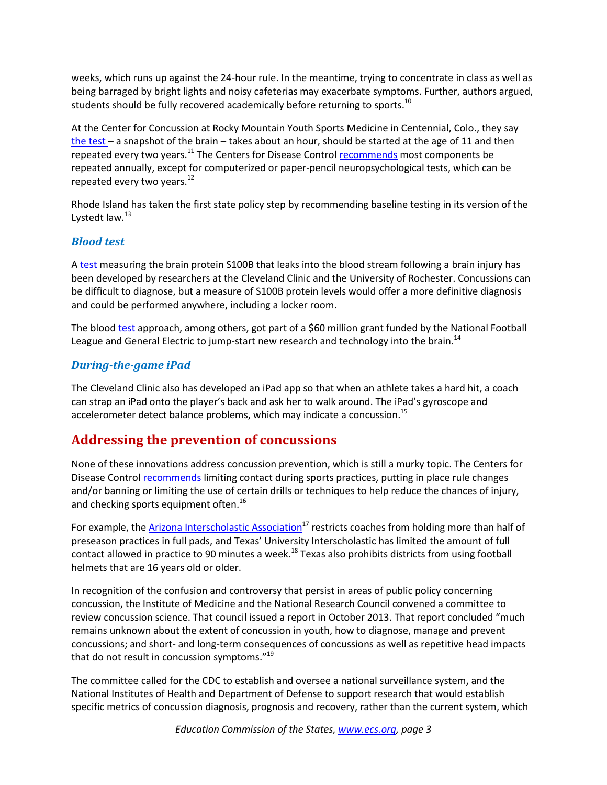weeks, which runs up against the 24-hour rule. In the meantime, trying to concentrate in class as well as being barraged by bright lights and noisy cafeterias may exacerbate symptoms. Further, authors argued, students should be fully recovered academically before returning to sports.<sup>10</sup>

At the Center for Concussion at Rocky Mountain Youth Sports Medicine in Centennial, Colo., they say [the test](http://www.rockymountainhospitalforchildren.com/sports-medicine/concussion-management/impact-testing/index.htm) – a snapshot of the brain – takes about an hour, should be started at the age of 11 and then repeated every two years.<sup>11</sup> The Centers for Disease Control [recommends](http://www.cdc.gov/concussion/sports/baseline_test.html) most components be repeated annually, except for computerized or paper-pencil neuropsychological tests, which can be repeated every two years.<sup>12</sup>

Rhode Island has taken the first state policy step by recommending baseline testing in its version of the Lystedt law. $^{13}$ 

#### <span id="page-2-0"></span>*Blood test*

A [test](http://www.plosone.org/article/fetchObject.action;jsessionid=00EBAAE5808657C1B67DE4CCA3CA13C7?uri=info%3Adoi%2F10.1371%2Fjournal.pone.0056805&representation=PDF) measuring the brain protein S100B that leaks into the blood stream following a brain injury has been developed by researchers at the Cleveland Clinic and the University of Rochester. Concussions can be difficult to diagnose, but a measure of S100B protein levels would offer a more definitive diagnosis and could be performed anywhere, including a locker room.

The blood [test](http://e.nfl.com/PS!wS3m76cZ3S4FBgIAAAAGCgFICggxMDg2NTQ1OAoKMTg0NzA1OTQ4MgkAEZRHCgkxNTU2ODM4ODcKB0FDVF8wXzY=?CPGN_CD=DCOMADEM201401241ADHCNC&CUST_ID=5000008505567&SEGMENT_CD=DCOMADEM201401241ADHCNC0TO6MACTIVEX&mailing_id=10865458&profile_id=1847059482&prof) approach, among others, got part of a \$60 million grant funded by the National Football League and General Electric to jump-start new research and technology into the brain.<sup>14</sup>

### <span id="page-2-1"></span>*During-the-game iPad*

The Cleveland Clinic also has developed an iPad app so that when an athlete takes a hard hit, a coach can strap an iPad onto the player's back and ask her to walk around. The iPad's gyroscope and accelerometer detect balance problems, which may indicate a concussion.<sup>15</sup>

## **Addressing the prevention of concussions**

None of these innovations address concussion prevention, which is still a murky topic. The Centers for Disease Control [recommends](http://www.cdc.gov/concussion/sports/prevention.html) limiting contact during sports practices, putting in place rule changes and/or banning or limiting the use of certain drills or techniques to help reduce the chances of injury, and checking sports equipment often.<sup>16</sup>

For example, the [Arizona Interscholastic Association](http://www.prweb.com/printer/10637189.htm)<sup>17</sup> restricts coaches from holding more than half of preseason practices in full pads, and Texas' University Interscholastic has limited the amount of full contact allowed in practice to 90 minutes a week.<sup>18</sup> Texas also prohibits districts from using football helmets that are 16 years old or older.

In recognition of the confusion and controversy that persist in areas of public policy concerning concussion, the Institute of Medicine and the National Research Council convened a committee to review concussion science. That council issued a report in October 2013. That report concluded "much remains unknown about the extent of concussion in youth, how to diagnose, manage and prevent concussions; and short- and long-term consequences of concussions as well as repetitive head impacts that do not result in concussion symptoms."<sup>19</sup>

The committee called for the CDC to establish and oversee a national surveillance system, and the National Institutes of Health and Department of Defense to support research that would establish specific metrics of concussion diagnosis, prognosis and recovery, rather than the current system, which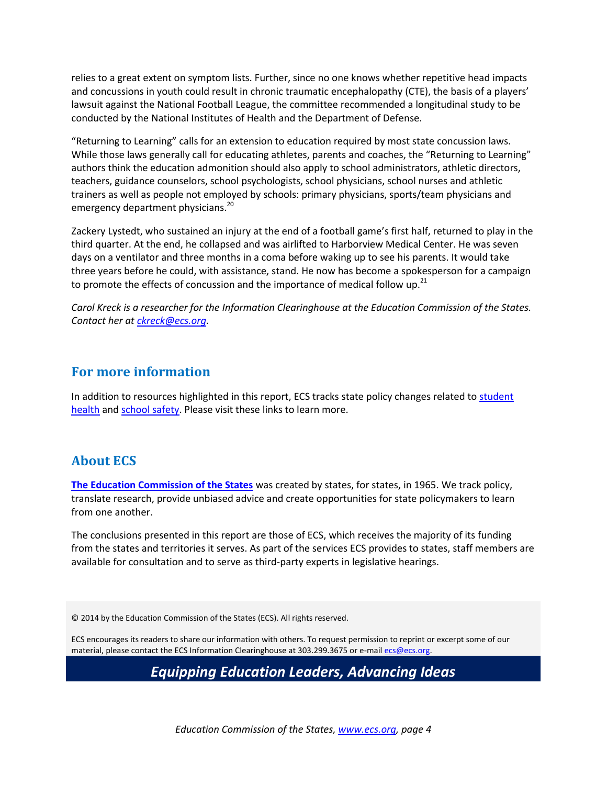relies to a great extent on symptom lists. Further, since no one knows whether repetitive head impacts and concussions in youth could result in chronic traumatic encephalopathy (CTE), the basis of a players' lawsuit against the National Football League, the committee recommended a longitudinal study to be conducted by the National Institutes of Health and the Department of Defense.

"Returning to Learning" calls for an extension to education required by most state concussion laws. While those laws generally call for educating athletes, parents and coaches, the "Returning to Learning" authors think the education admonition should also apply to school administrators, athletic directors, teachers, guidance counselors, school psychologists, school physicians, school nurses and athletic trainers as well as people not employed by schools: primary physicians, sports/team physicians and emergency department physicians.<sup>20</sup>

Zackery Lystedt, who sustained an injury at the end of a football game's first half, returned to play in the third quarter. At the end, he collapsed and was airlifted to Harborview Medical Center. He was seven days on a ventilator and three months in a coma before waking up to see his parents. It would take three years before he could, with assistance, stand. He now has become a spokesperson for a campaign to promote the effects of concussion and the importance of medical follow up.<sup>21</sup>

*Carol Kreck is a researcher for the Information Clearinghouse at the Education Commission of the States. Contact her at [ckreck@ecs.org.](mailto:ckreck@ecs.org)*

### **For more information**

In addition to resources highlighted in this report, ECS tracks state policy changes related to student [health](http://www.ecs.org/html/issue.asp?issueID=71) and [school safety.](http://www.ecs.org/html/issue.asp?issueID=101) Please visit these links to learn more.

## **About ECS**

**[The Education Commission of the States](http://www.ecs.org/)** was created by states, for states, in 1965. We track policy, translate research, provide unbiased advice and create opportunities for state policymakers to learn from one another.

The conclusions presented in this report are those of ECS, which receives the majority of its funding from the states and territories it serves. As part of the services ECS provides to states, staff members are available for consultation and to serve as third-party experts in legislative hearings.

© 2014 by the Education Commission of the States (ECS). All rights reserved.

ECS encourages its readers to share our information with others. To request permission to reprint or excerpt some of our material, please contact the ECS Information Clearinghouse at 303.299.3675 or e-mai[l ecs@ecs.org.](mailto:ecs@ecs.org)

*Equipping Education Leaders, Advancing Ideas*